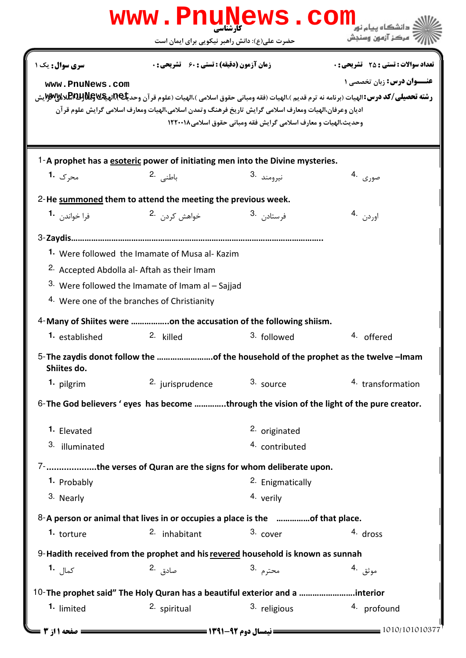| www.PnuNews.com<br>دانشگاه بیام نور |                                                                                                                                                                                                                          |                                                                  |                                                                                                                                                                                                                                         |  |  |
|-------------------------------------|--------------------------------------------------------------------------------------------------------------------------------------------------------------------------------------------------------------------------|------------------------------------------------------------------|-----------------------------------------------------------------------------------------------------------------------------------------------------------------------------------------------------------------------------------------|--|--|
|                                     | حضرت علی(ع): دانش راهبر نیکویی برای ایمان است                                                                                                                                                                            |                                                                  | " مرڪز آزمون وسنڊش                                                                                                                                                                                                                      |  |  |
| سری سوال: یک ۱<br>www.PnuNews.com   | <b>زمان آزمون (دقیقه) : تستی : 60 ٪ تشریحی : 0</b><br>اديان وعرفان،الهيات ومعارف اسلامي گرايش تاريخ فرهنگ وتمدن اسلامي،الهيات ومعارف اسلامي گرايش علوم قرآن                                                              | وحديث،الهيات و معارف اسلامي گرايش فقه ومباني حقوق اسلامي ١٢٢٠٠١٨ | تعداد سوالات : تستي : 25 - تشريحي : 0<br><b>عنــوان درس:</b> زبان تخصصی ۱<br><b>رشته تحصیلی/کد درس:ا</b> لهیات (برنامه نه ترم قدیم )،الهیات (فقه ومبانی حقوق اسلامی )،الهیات (علوم قر آن وحد <b>یلکپلاپویلاپویلاپوییالاپهیاپوی</b><br>د |  |  |
|                                     | 1-A prophet has a esoteric power of initiating men into the Divine mysteries.                                                                                                                                            |                                                                  |                                                                                                                                                                                                                                         |  |  |
| محرک 1.                             | باطني .2                                                                                                                                                                                                                 | نيرومند <sup>.3</sup>                                            | صوری .4                                                                                                                                                                                                                                 |  |  |
|                                     | 2-He summoned them to attend the meeting the previous week.                                                                                                                                                              |                                                                  |                                                                                                                                                                                                                                         |  |  |
| فرا خواند <sub>ن</sub> <b>1</b> ۰   | خواهش کردن .2                                                                                                                                                                                                            | فرستاد <sub>ن</sub> <sup>.3</sup>                                | اوردن .4                                                                                                                                                                                                                                |  |  |
|                                     | 1. Were followed the Imamate of Musa al- Kazim<br><sup>2.</sup> Accepted Abdolla al- Aftah as their Imam<br>3. Were followed the Imamate of Imam al $-$ Sajjad<br><sup>4.</sup> Were one of the branches of Christianity |                                                                  |                                                                                                                                                                                                                                         |  |  |
|                                     | 4-Many of Shiites were on the accusation of the following shiism.                                                                                                                                                        |                                                                  |                                                                                                                                                                                                                                         |  |  |
| 1. established                      | 2. killed                                                                                                                                                                                                                | 3. followed                                                      | 4. offered                                                                                                                                                                                                                              |  |  |
| Shiites do.                         | 5-The zaydis donot follow the of the household of the prophet as the twelve -Imam                                                                                                                                        |                                                                  |                                                                                                                                                                                                                                         |  |  |
| 1. pilgrim                          | <sup>2.</sup> jurisprudence                                                                                                                                                                                              | 3. source                                                        | 4. transformation                                                                                                                                                                                                                       |  |  |
|                                     | 6- The God believers ' eyes has become through the vision of the light of the pure creator.                                                                                                                              |                                                                  |                                                                                                                                                                                                                                         |  |  |
| 1. Elevated                         |                                                                                                                                                                                                                          | 2. originated                                                    |                                                                                                                                                                                                                                         |  |  |
| 3. illuminated                      |                                                                                                                                                                                                                          | 4. contributed                                                   |                                                                                                                                                                                                                                         |  |  |
|                                     | 7-the verses of Quran are the signs for whom deliberate upon.                                                                                                                                                            |                                                                  |                                                                                                                                                                                                                                         |  |  |
| 1. Probably                         |                                                                                                                                                                                                                          | 2. Enigmatically                                                 |                                                                                                                                                                                                                                         |  |  |
| 3. Nearly                           |                                                                                                                                                                                                                          | 4. verily                                                        |                                                                                                                                                                                                                                         |  |  |
|                                     | 8-A person or animal that lives in or occupies a place is the of that place.                                                                                                                                             |                                                                  |                                                                                                                                                                                                                                         |  |  |
| 1. torture                          | 2. inhabitant                                                                                                                                                                                                            | 3. cover                                                         | 4. dross                                                                                                                                                                                                                                |  |  |
|                                     | 9-Hadith received from the prophet and his revered household is known as sunnah                                                                                                                                          |                                                                  |                                                                                                                                                                                                                                         |  |  |
| كما <sub>ل</sub> 1.                 | صادق .2                                                                                                                                                                                                                  | محترم .3                                                         | موثق .4                                                                                                                                                                                                                                 |  |  |
|                                     | 10-The prophet said" The Holy Quran has a beautiful exterior and a interior                                                                                                                                              |                                                                  |                                                                                                                                                                                                                                         |  |  |
| 1. limited                          | 2. spiritual                                                                                                                                                                                                             | 3. religious                                                     | 4. profound                                                                                                                                                                                                                             |  |  |
|                                     |                                                                                                                                                                                                                          |                                                                  | $= 1010/101010377$                                                                                                                                                                                                                      |  |  |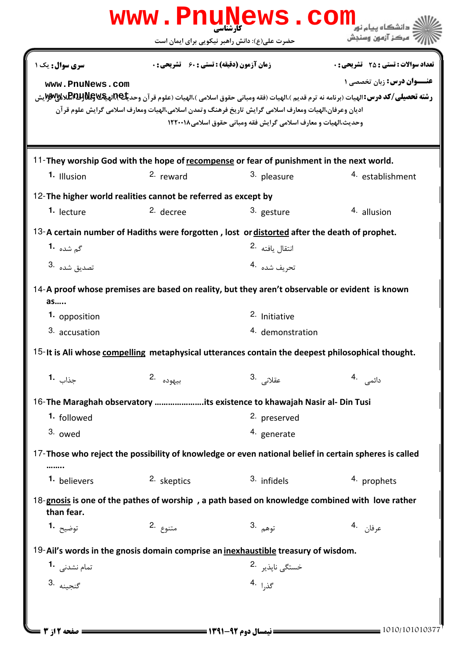|                                                                                                  |                                                    | WWW.Pnunews.com                                                                                                                                                           |                                                                                                                                                                                                                                    |  |  |
|--------------------------------------------------------------------------------------------------|----------------------------------------------------|---------------------------------------------------------------------------------------------------------------------------------------------------------------------------|------------------------------------------------------------------------------------------------------------------------------------------------------------------------------------------------------------------------------------|--|--|
|                                                                                                  |                                                    | حضرت علی(ع): دانش راهبر نیکویی برای ایمان است                                                                                                                             |                                                                                                                                                                                                                                    |  |  |
| <b>سری سوال :</b> یک ۱<br>www.PnuNews.com                                                        | <b>زمان آزمون (دقیقه) : تستی : 60 ٪ تشریحی : 0</b> | اديان وعرفان،الهيات ومعارف اسلامي گرايش تاريخ فرهنگ وتمدن اسلامي،الهيات ومعارف اسلامي گرايش علوم قرآن<br>وحديث،الهيات و معارف اسلامي گرايش فقه ومباني حقوق اسلامي ١٢٢٠٠١٨ | <b>تعداد سوالات : تستي : 25 - تشريحي : 0</b><br><b>عنــوان درس:</b> زبان تخصصی ۱<br><b>رشته تحصیلی/کد درس: ا</b> لهیات (برنامه نه ترم قدیم )،الهیات (فقه ومبانی حقوق اسلامی )،الهیات (علوم قرآن وحد <b>یکاRپیگلاټیالاپخ)@W</b> یدی |  |  |
|                                                                                                  |                                                    | 11-They worship God with the hope of recompense or fear of punishment in the next world.                                                                                  |                                                                                                                                                                                                                                    |  |  |
| 1. Illusion                                                                                      | 2. reward                                          | <sup>3.</sup> pleasure                                                                                                                                                    | 4. establishment                                                                                                                                                                                                                   |  |  |
| 12-The higher world realities cannot be referred as except by                                    |                                                    |                                                                                                                                                                           |                                                                                                                                                                                                                                    |  |  |
| 1. lecture                                                                                       | 2. decree                                          | 3. gesture                                                                                                                                                                | 4. allusion                                                                                                                                                                                                                        |  |  |
|                                                                                                  |                                                    | 13-A certain number of Hadiths were forgotten, lost or distorted after the death of prophet.                                                                              |                                                                                                                                                                                                                                    |  |  |
| گ <sub>م</sub> شده <b>۱۰</b>                                                                     |                                                    | انتقال يافته 2.                                                                                                                                                           |                                                                                                                                                                                                                                    |  |  |
| 3. تصديق شده                                                                                     |                                                    | تحريف شده 4.                                                                                                                                                              |                                                                                                                                                                                                                                    |  |  |
| as                                                                                               |                                                    | 14-A proof whose premises are based on reality, but they aren't observable or evident is known                                                                            |                                                                                                                                                                                                                                    |  |  |
| 1. opposition                                                                                    |                                                    | 2. Initiative                                                                                                                                                             |                                                                                                                                                                                                                                    |  |  |
| 3. accusation                                                                                    |                                                    | 4. demonstration                                                                                                                                                          |                                                                                                                                                                                                                                    |  |  |
| 15-It is Ali whose compelling metaphysical utterances contain the deepest philosophical thought. |                                                    |                                                                                                                                                                           |                                                                                                                                                                                                                                    |  |  |
| جذاب 1.                                                                                          | بيهوده .2                                          | عقلانى .3                                                                                                                                                                 | دائمى .4                                                                                                                                                                                                                           |  |  |
|                                                                                                  |                                                    | 16-The Maraghah observatory its existence to khawajah Nasir al- Din Tusi                                                                                                  |                                                                                                                                                                                                                                    |  |  |
| 1. followed                                                                                      |                                                    | 2. preserved                                                                                                                                                              |                                                                                                                                                                                                                                    |  |  |
| 3. owed                                                                                          |                                                    | 4. generate                                                                                                                                                               |                                                                                                                                                                                                                                    |  |  |
|                                                                                                  |                                                    | 17-Those who reject the possibility of knowledge or even national belief in certain spheres is called                                                                     |                                                                                                                                                                                                                                    |  |  |
| 1. believers                                                                                     | 2. skeptics                                        | 3. infidels                                                                                                                                                               | 4. prophets                                                                                                                                                                                                                        |  |  |
| than fear.                                                                                       |                                                    | 18-gnosis is one of the pathes of worship, a path based on knowledge combined with love rather                                                                            |                                                                                                                                                                                                                                    |  |  |
| توضيح <b>1.</b>                                                                                  | متنوع .2                                           | توهم .3                                                                                                                                                                   | عرفان .4                                                                                                                                                                                                                           |  |  |
|                                                                                                  |                                                    | 19-Ail's words in the gnosis domain comprise an <i>inexhaustible</i> treasury of wisdom.                                                                                  |                                                                                                                                                                                                                                    |  |  |
| تمام نشدنی <b>1</b> ۰                                                                            |                                                    | خستگی ناپذیر <sup>.2</sup>                                                                                                                                                |                                                                                                                                                                                                                                    |  |  |
| گنجينه 3.                                                                                        |                                                    | گذ,ا <sup>4</sup>                                                                                                                                                         |                                                                                                                                                                                                                                    |  |  |
|                                                                                                  |                                                    |                                                                                                                                                                           |                                                                                                                                                                                                                                    |  |  |